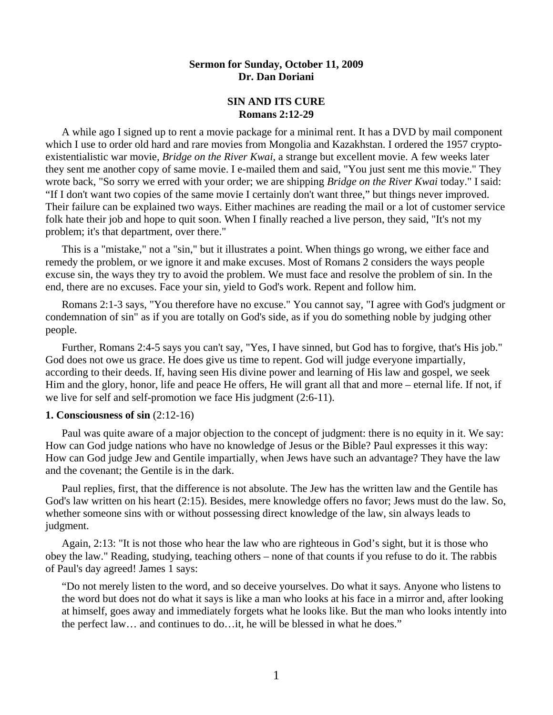### **Sermon for Sunday, October 11, 2009 Dr. Dan Doriani**

## **SIN AND ITS CURE Romans 2:12-29**

 A while ago I signed up to rent a movie package for a minimal rent. It has a DVD by mail component which I use to order old hard and rare movies from Mongolia and Kazakhstan. I ordered the 1957 cryptoexistentialistic war movie, *Bridge on the River Kwai*, a strange but excellent movie. A few weeks later they sent me another copy of same movie. I e-mailed them and said, "You just sent me this movie." They wrote back, "So sorry we erred with your order; we are shipping *Bridge on the River Kwai* today." I said: "If I don't want two copies of the same movie I certainly don't want three," but things never improved. Their failure can be explained two ways. Either machines are reading the mail or a lot of customer service folk hate their job and hope to quit soon. When I finally reached a live person, they said, "It's not my problem; it's that department, over there."

 This is a "mistake," not a "sin," but it illustrates a point. When things go wrong, we either face and remedy the problem, or we ignore it and make excuses. Most of Romans 2 considers the ways people excuse sin, the ways they try to avoid the problem. We must face and resolve the problem of sin. In the end, there are no excuses. Face your sin, yield to God's work. Repent and follow him.

 Romans 2:1-3 says, "You therefore have no excuse." You cannot say, "I agree with God's judgment or condemnation of sin" as if you are totally on God's side, as if you do something noble by judging other people.

 Further, Romans 2:4-5 says you can't say, "Yes, I have sinned, but God has to forgive, that's His job." God does not owe us grace. He does give us time to repent. God will judge everyone impartially, according to their deeds. If, having seen His divine power and learning of His law and gospel, we seek Him and the glory, honor, life and peace He offers, He will grant all that and more – eternal life. If not, if we live for self and self-promotion we face His judgment (2:6-11).

#### **1. Consciousness of sin** (2:12-16)

 Paul was quite aware of a major objection to the concept of judgment: there is no equity in it. We say: How can God judge nations who have no knowledge of Jesus or the Bible? Paul expresses it this way: How can God judge Jew and Gentile impartially, when Jews have such an advantage? They have the law and the covenant; the Gentile is in the dark.

 Paul replies, first, that the difference is not absolute. The Jew has the written law and the Gentile has God's law written on his heart (2:15). Besides, mere knowledge offers no favor; Jews must do the law. So, whether someone sins with or without possessing direct knowledge of the law, sin always leads to judgment.

 Again, 2:13: "It is not those who hear the law who are righteous in God's sight, but it is those who obey the law." Reading, studying, teaching others – none of that counts if you refuse to do it. The rabbis of Paul's day agreed! James 1 says:

"Do not merely listen to the word, and so deceive yourselves. Do what it says. Anyone who listens to the word but does not do what it says is like a man who looks at his face in a mirror and, after looking at himself, goes away and immediately forgets what he looks like. But the man who looks intently into the perfect law… and continues to do…it, he will be blessed in what he does."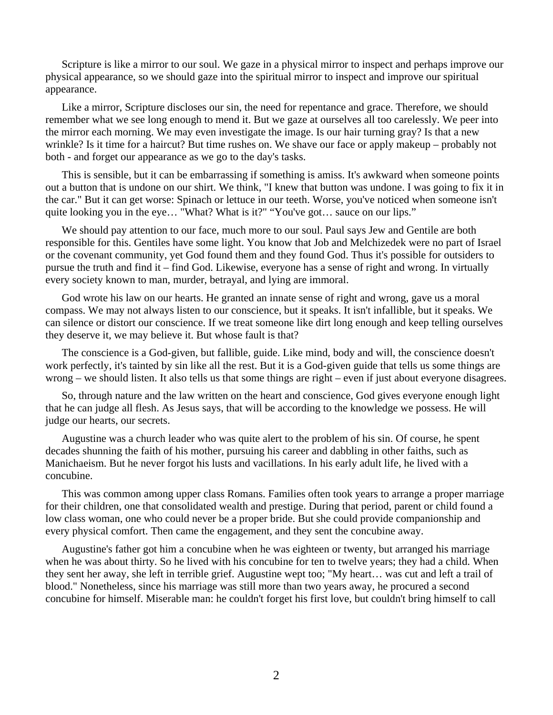Scripture is like a mirror to our soul. We gaze in a physical mirror to inspect and perhaps improve our physical appearance, so we should gaze into the spiritual mirror to inspect and improve our spiritual appearance.

 Like a mirror, Scripture discloses our sin, the need for repentance and grace. Therefore, we should remember what we see long enough to mend it. But we gaze at ourselves all too carelessly. We peer into the mirror each morning. We may even investigate the image. Is our hair turning gray? Is that a new wrinkle? Is it time for a haircut? But time rushes on. We shave our face or apply makeup – probably not both - and forget our appearance as we go to the day's tasks.

 This is sensible, but it can be embarrassing if something is amiss. It's awkward when someone points out a button that is undone on our shirt. We think, "I knew that button was undone. I was going to fix it in the car." But it can get worse: Spinach or lettuce in our teeth. Worse, you've noticed when someone isn't quite looking you in the eye... "What? What is it?" "You've got... sauce on our lips."

 We should pay attention to our face, much more to our soul. Paul says Jew and Gentile are both responsible for this. Gentiles have some light. You know that Job and Melchizedek were no part of Israel or the covenant community, yet God found them and they found God. Thus it's possible for outsiders to pursue the truth and find it – find God. Likewise, everyone has a sense of right and wrong. In virtually every society known to man, murder, betrayal, and lying are immoral.

 God wrote his law on our hearts. He granted an innate sense of right and wrong, gave us a moral compass. We may not always listen to our conscience, but it speaks. It isn't infallible, but it speaks. We can silence or distort our conscience. If we treat someone like dirt long enough and keep telling ourselves they deserve it, we may believe it. But whose fault is that?

 The conscience is a God-given, but fallible, guide. Like mind, body and will, the conscience doesn't work perfectly, it's tainted by sin like all the rest. But it is a God-given guide that tells us some things are wrong – we should listen. It also tells us that some things are right – even if just about everyone disagrees.

 So, through nature and the law written on the heart and conscience, God gives everyone enough light that he can judge all flesh. As Jesus says, that will be according to the knowledge we possess. He will judge our hearts, our secrets.

 Augustine was a church leader who was quite alert to the problem of his sin. Of course, he spent decades shunning the faith of his mother, pursuing his career and dabbling in other faiths, such as Manichaeism. But he never forgot his lusts and vacillations. In his early adult life, he lived with a concubine.

 This was common among upper class Romans. Families often took years to arrange a proper marriage for their children, one that consolidated wealth and prestige. During that period, parent or child found a low class woman, one who could never be a proper bride. But she could provide companionship and every physical comfort. Then came the engagement, and they sent the concubine away.

 Augustine's father got him a concubine when he was eighteen or twenty, but arranged his marriage when he was about thirty. So he lived with his concubine for ten to twelve years; they had a child. When they sent her away, she left in terrible grief. Augustine wept too; "My heart… was cut and left a trail of blood." Nonetheless, since his marriage was still more than two years away, he procured a second concubine for himself. Miserable man: he couldn't forget his first love, but couldn't bring himself to call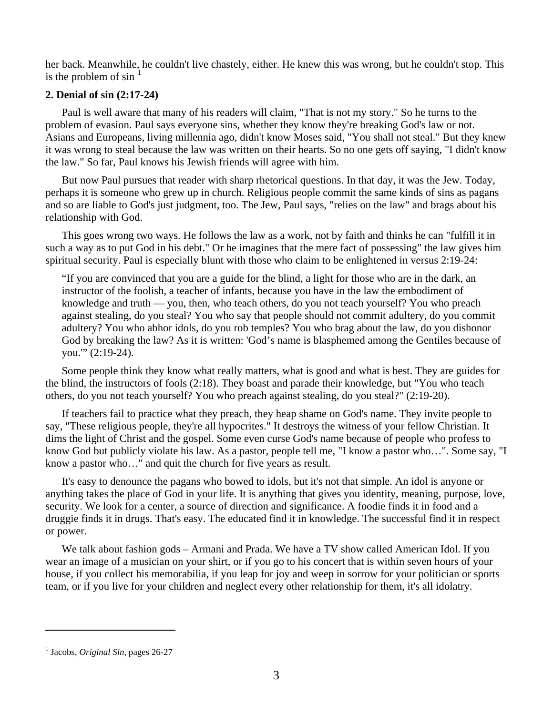her back. Meanwhile, he couldn't live chastely, either. He knew this was wrong, but he couldn't stop. This is the problem of  $\sin^{-1}$  $\sin^{-1}$  $\sin^{-1}$ 

# **2. Denial of sin (2:17-24)**

Paul is well aware that many of his readers will claim, "That is not my story." So he turns to the problem of evasion. Paul says everyone sins, whether they know they're breaking God's law or not. Asians and Europeans, living millennia ago, didn't know Moses said, "You shall not steal." But they knew it was wrong to steal because the law was written on their hearts. So no one gets off saying, "I didn't know the law." So far, Paul knows his Jewish friends will agree with him.

 But now Paul pursues that reader with sharp rhetorical questions. In that day, it was the Jew. Today, perhaps it is someone who grew up in church. Religious people commit the same kinds of sins as pagans and so are liable to God's just judgment, too. The Jew, Paul says, "relies on the law" and brags about his relationship with God.

 This goes wrong two ways. He follows the law as a work, not by faith and thinks he can "fulfill it in such a way as to put God in his debt." Or he imagines that the mere fact of possessing" the law gives him spiritual security. Paul is especially blunt with those who claim to be enlightened in versus 2:19-24:

"If you are convinced that you are a guide for the blind, a light for those who are in the dark, an instructor of the foolish, a teacher of infants, because you have in the law the embodiment of knowledge and truth — you, then, who teach others, do you not teach yourself? You who preach against stealing, do you steal? You who say that people should not commit adultery, do you commit adultery? You who abhor idols, do you rob temples? You who brag about the law, do you dishonor God by breaking the law? As it is written: 'God's name is blasphemed among the Gentiles because of you.'" (2:19-24).

 Some people think they know what really matters, what is good and what is best. They are guides for the blind, the instructors of fools (2:18). They boast and parade their knowledge, but "You who teach others, do you not teach yourself? You who preach against stealing, do you steal?" (2:19-20).

 If teachers fail to practice what they preach, they heap shame on God's name. They invite people to say, "These religious people, they're all hypocrites." It destroys the witness of your fellow Christian. It dims the light of Christ and the gospel. Some even curse God's name because of people who profess to know God but publicly violate his law. As a pastor, people tell me, "I know a pastor who…". Some say, "I know a pastor who…" and quit the church for five years as result.

 It's easy to denounce the pagans who bowed to idols, but it's not that simple. An idol is anyone or anything takes the place of God in your life. It is anything that gives you identity, meaning, purpose, love, security. We look for a center, a source of direction and significance. A foodie finds it in food and a druggie finds it in drugs. That's easy. The educated find it in knowledge. The successful find it in respect or power.

We talk about fashion gods – Armani and Prada. We have a TV show called American Idol. If you wear an image of a musician on your shirt, or if you go to his concert that is within seven hours of your house, if you collect his memorabilia, if you leap for joy and weep in sorrow for your politician or sports team, or if you live for your children and neglect every other relationship for them, it's all idolatry.

l

<span id="page-2-0"></span><sup>&</sup>lt;sup>1</sup> Jacobs, *Original Sin*, pages 26-27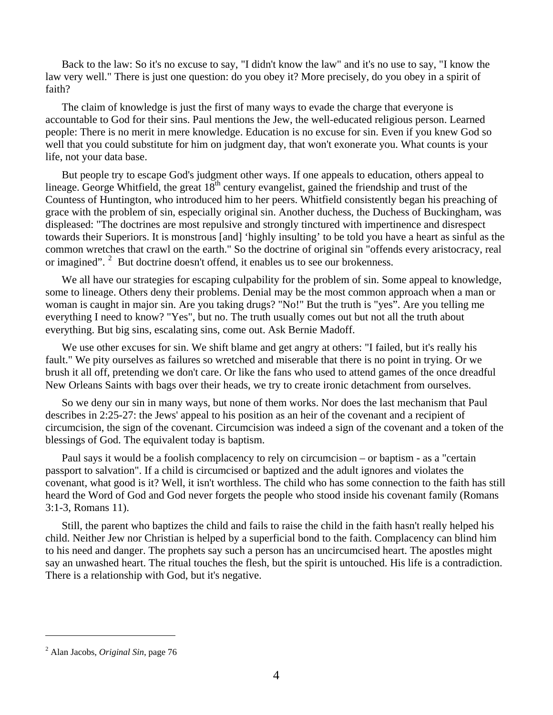Back to the law: So it's no excuse to say, "I didn't know the law" and it's no use to say, "I know the law very well." There is just one question: do you obey it? More precisely, do you obey in a spirit of faith?

 The claim of knowledge is just the first of many ways to evade the charge that everyone is accountable to God for their sins. Paul mentions the Jew, the well-educated religious person. Learned people: There is no merit in mere knowledge. Education is no excuse for sin. Even if you knew God so well that you could substitute for him on judgment day, that won't exonerate you. What counts is your life, not your data base.

 But people try to escape God's judgment other ways. If one appeals to education, others appeal to lineage. George Whitfield, the great  $18^{th}$  century evangelist, gained the friendship and trust of the Countess of Huntington, who introduced him to her peers. Whitfield consistently began his preaching of grace with the problem of sin, especially original sin. Another duchess, the Duchess of Buckingham, was displeased: "The doctrines are most repulsive and strongly tinctured with impertinence and disrespect towards their Superiors. It is monstrous [and] 'highly insulting' to be told you have a heart as sinful as the common wretches that crawl on the earth." So the doctrine of original sin "offends every aristocracy, real or imagined". <sup>[2](#page-3-0)</sup> But doctrine doesn't offend, it enables us to see our brokenness.

We all have our strategies for escaping culpability for the problem of sin. Some appeal to knowledge, some to lineage. Others deny their problems. Denial may be the most common approach when a man or woman is caught in major sin. Are you taking drugs? "No!" But the truth is "yes". Are you telling me everything I need to know? "Yes", but no. The truth usually comes out but not all the truth about everything. But big sins, escalating sins, come out. Ask Bernie Madoff.

 We use other excuses for sin. We shift blame and get angry at others: "I failed, but it's really his fault." We pity ourselves as failures so wretched and miserable that there is no point in trying. Or we brush it all off, pretending we don't care. Or like the fans who used to attend games of the once dreadful New Orleans Saints with bags over their heads, we try to create ironic detachment from ourselves.

 So we deny our sin in many ways, but none of them works. Nor does the last mechanism that Paul describes in 2:25-27: the Jews' appeal to his position as an heir of the covenant and a recipient of circumcision, the sign of the covenant. Circumcision was indeed a sign of the covenant and a token of the blessings of God. The equivalent today is baptism.

 Paul says it would be a foolish complacency to rely on circumcision – or baptism - as a "certain passport to salvation". If a child is circumcised or baptized and the adult ignores and violates the covenant, what good is it? Well, it isn't worthless. The child who has some connection to the faith has still heard the Word of God and God never forgets the people who stood inside his covenant family (Romans 3:1-3, Romans 11).

 Still, the parent who baptizes the child and fails to raise the child in the faith hasn't really helped his child. Neither Jew nor Christian is helped by a superficial bond to the faith. Complacency can blind him to his need and danger. The prophets say such a person has an uncircumcised heart. The apostles might say an unwashed heart. The ritual touches the flesh, but the spirit is untouched. His life is a contradiction. There is a relationship with God, but it's negative.

l

<span id="page-3-0"></span><sup>2</sup> Alan Jacobs, *Original Sin*, page 76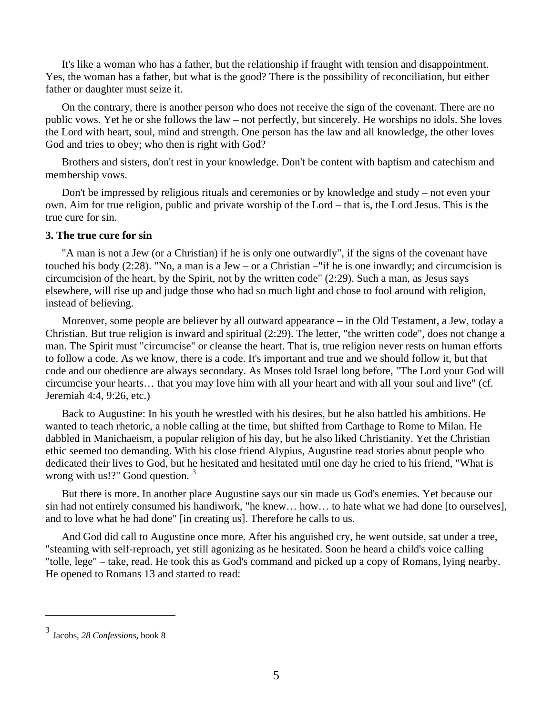It's like a woman who has a father, but the relationship if fraught with tension and disappointment. Yes, the woman has a father, but what is the good? There is the possibility of reconciliation, but either father or daughter must seize it.

 On the contrary, there is another person who does not receive the sign of the covenant. There are no public vows. Yet he or she follows the law – not perfectly, but sincerely. He worships no idols. She loves the Lord with heart, soul, mind and strength. One person has the law and all knowledge, the other loves God and tries to obey; who then is right with God?

 Brothers and sisters, don't rest in your knowledge. Don't be content with baptism and catechism and membership vows.

 Don't be impressed by religious rituals and ceremonies or by knowledge and study – not even your own. Aim for true religion, public and private worship of the Lord – that is, the Lord Jesus. This is the true cure for sin.

#### **3. The true cure for sin**

 "A man is not a Jew (or a Christian) if he is only one outwardly", if the signs of the covenant have touched his body (2:28). "No, a man is a Jew – or a Christian –"if he is one inwardly; and circumcision is circumcision of the heart, by the Spirit, not by the written code" (2:29). Such a man, as Jesus says elsewhere, will rise up and judge those who had so much light and chose to fool around with religion, instead of believing.

 Moreover, some people are believer by all outward appearance – in the Old Testament, a Jew, today a Christian. But true religion is inward and spiritual (2:29). The letter, "the written code", does not change a man. The Spirit must "circumcise" or cleanse the heart. That is, true religion never rests on human efforts to follow a code. As we know, there is a code. It's important and true and we should follow it, but that code and our obedience are always secondary. As Moses told Israel long before, "The Lord your God will circumcise your hearts… that you may love him with all your heart and with all your soul and live" (cf. Jeremiah 4:4, 9:26, etc.)

 Back to Augustine: In his youth he wrestled with his desires, but he also battled his ambitions. He wanted to teach rhetoric, a noble calling at the time, but shifted from Carthage to Rome to Milan. He dabbled in Manichaeism, a popular religion of his day, but he also liked Christianity. Yet the Christian ethic seemed too demanding. With his close friend Alypius, Augustine read stories about people who dedicated their lives to God, but he hesitated and hesitated until one day he cried to his friend, "What is wrong with us!?" Good question.<sup>[3](#page-4-0)</sup>

 But there is more. In another place Augustine says our sin made us God's enemies. Yet because our sin had not entirely consumed his handiwork, "he knew… how… to hate what we had done [to ourselves], and to love what he had done" [in creating us]. Therefore he calls to us.

 And God did call to Augustine once more. After his anguished cry, he went outside, sat under a tree, "steaming with self-reproach, yet still agonizing as he hesitated. Soon he heard a child's voice calling "tolle, lege" – take, read. He took this as God's command and picked up a copy of Romans, lying nearby. He opened to Romans 13 and started to read:

l

<span id="page-4-0"></span><sup>3</sup> Jacobs, *28 Confessions,* book 8